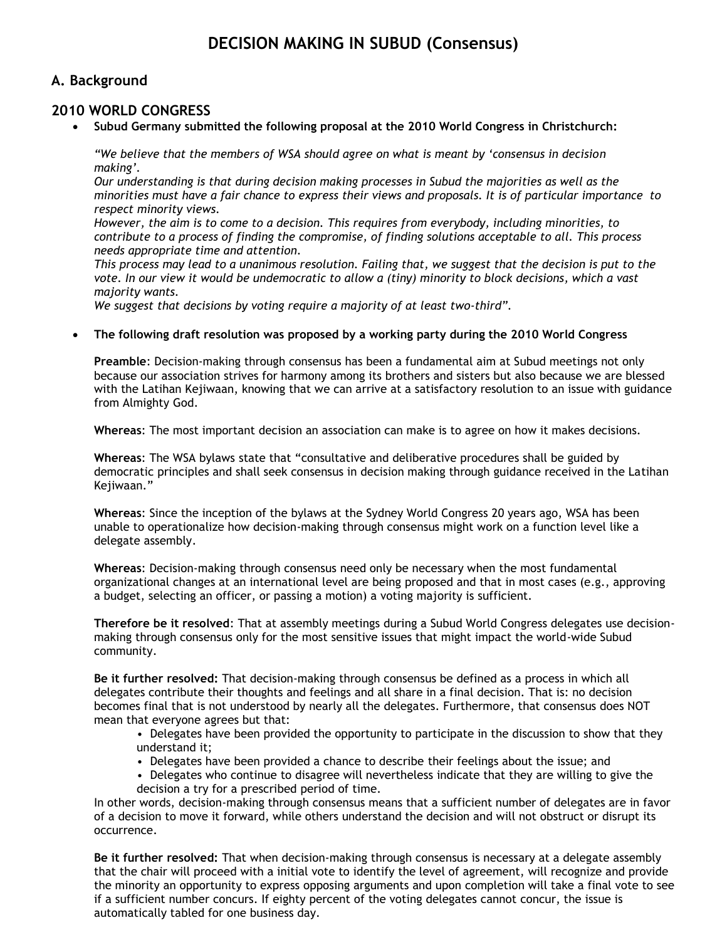# **DECISION MAKING IN SUBUD (Consensus)**

# **A. Background**

# **2010 WORLD CONGRESS**

**Subud Germany submitted the following proposal at the 2010 World Congress in Christchurch:**

*"We believe that the members of WSA should agree on what is meant by 'consensus in decision making'.*

*Our understanding is that during decision making processes in Subud the majorities as well as the minorities must have a fair chance to express their views and proposals. It is of particular importance to respect minority views.* 

*However, the aim is to come to a decision. This requires from everybody, including minorities, to contribute to a process of finding the compromise, of finding solutions acceptable to all. This process needs appropriate time and attention.* 

*This process may lead to a unanimous resolution. Failing that, we suggest that the decision is put to the vote. In our view it would be undemocratic to allow a (tiny) minority to block decisions, which a vast majority wants.* 

*We suggest that decisions by voting require a majority of at least two-third".*

**The following draft resolution was proposed by a working party during the 2010 World Congress**

**Preamble**: Decision-making through consensus has been a fundamental aim at Subud meetings not only because our association strives for harmony among its brothers and sisters but also because we are blessed with the Latihan Kejiwaan, knowing that we can arrive at a satisfactory resolution to an issue with guidance from Almighty God.

**Whereas**: The most important decision an association can make is to agree on how it makes decisions.

**Whereas**: The WSA bylaws state that "consultative and deliberative procedures shall be guided by democratic principles and shall seek consensus in decision making through guidance received in the Latihan Kejiwaan."

**Whereas**: Since the inception of the bylaws at the Sydney World Congress 20 years ago, WSA has been unable to operationalize how decision-making through consensus might work on a function level like a delegate assembly.

**Whereas**: Decision-making through consensus need only be necessary when the most fundamental organizational changes at an international level are being proposed and that in most cases (e.g., approving a budget, selecting an officer, or passing a motion) a voting majority is sufficient.

**Therefore be it resolved**: That at assembly meetings during a Subud World Congress delegates use decisionmaking through consensus only for the most sensitive issues that might impact the world-wide Subud community.

**Be it further resolved:** That decision-making through consensus be defined as a process in which all delegates contribute their thoughts and feelings and all share in a final decision. That is: no decision becomes final that is not understood by nearly all the delegates. Furthermore, that consensus does NOT mean that everyone agrees but that:

• Delegates have been provided the opportunity to participate in the discussion to show that they understand it;

- Delegates have been provided a chance to describe their feelings about the issue; and
- Delegates who continue to disagree will nevertheless indicate that they are willing to give the decision a try for a prescribed period of time.

In other words, decision-making through consensus means that a sufficient number of delegates are in favor of a decision to move it forward, while others understand the decision and will not obstruct or disrupt its occurrence.

**Be it further resolved:** That when decision-making through consensus is necessary at a delegate assembly that the chair will proceed with a initial vote to identify the level of agreement, will recognize and provide the minority an opportunity to express opposing arguments and upon completion will take a final vote to see if a sufficient number concurs. If eighty percent of the voting delegates cannot concur, the issue is automatically tabled for one business day.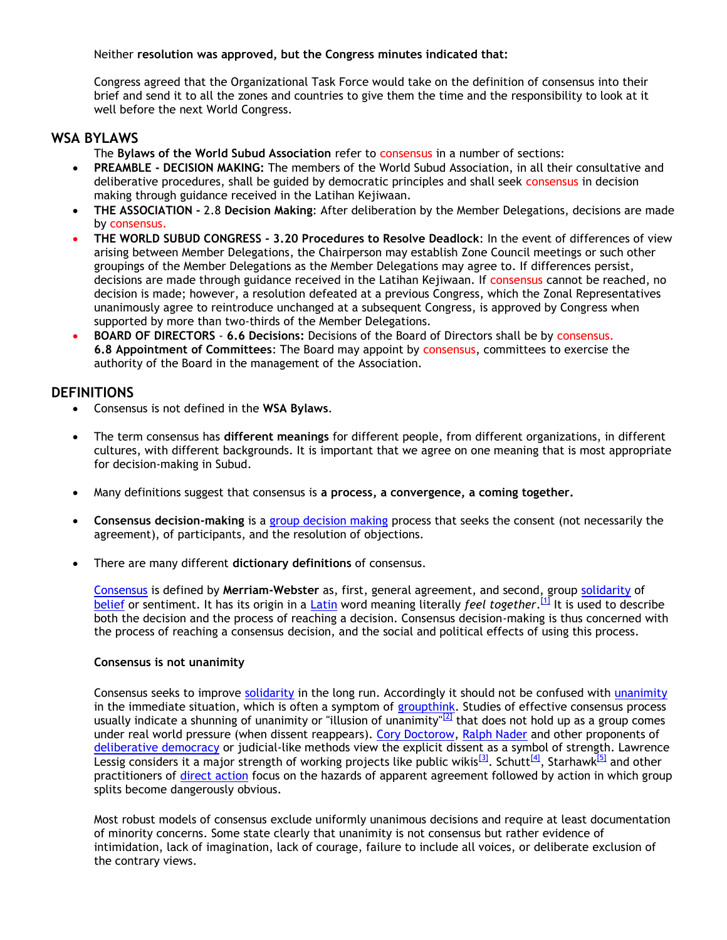### Neither **resolution was approved, but the Congress minutes indicated that:**

Congress agreed that the Organizational Task Force would take on the definition of consensus into their brief and send it to all the zones and countries to give them the time and the responsibility to look at it well before the next World Congress.

### **WSA BYLAWS**

- The **Bylaws of the World Subud Association** refer to consensus in a number of sections:
- **PREAMBLE - DECISION MAKING:** The members of the World Subud Association, in all their consultative and deliberative procedures, shall be guided by democratic principles and shall seek consensus in decision making through guidance received in the Latihan Kejiwaan.
- **THE ASSOCIATION -** 2.8 **Decision Making**: After deliberation by the Member Delegations, decisions are made by consensus.
- **THE WORLD SUBUD CONGRESS - 3.20 Procedures to Resolve Deadlock**: In the event of differences of view arising between Member Delegations, the Chairperson may establish Zone Council meetings or such other groupings of the Member Delegations as the Member Delegations may agree to. If differences persist, decisions are made through guidance received in the Latihan Kejiwaan. If consensus cannot be reached, no decision is made; however, a resolution defeated at a previous Congress, which the Zonal Representatives unanimously agree to reintroduce unchanged at a subsequent Congress, is approved by Congress when supported by more than two-thirds of the Member Delegations.
- **BOARD OF DIRECTORS 6.6 Decisions:** Decisions of the Board of Directors shall be by consensus. **6.8 Appointment of Committees**: The Board may appoint by consensus, committees to exercise the authority of the Board in the management of the Association.

# **DEFINITIONS**

- Consensus is not defined in the **WSA Bylaws**.
- The term consensus has **different meanings** for different people, from different organizations, in different cultures, with different backgrounds. It is important that we agree on one meaning that is most appropriate for decision-making in Subud.
- Many definitions suggest that consensus is **a process, a convergence, a coming together.**
- **Consensus decision-making** is a [group decision making](http://en.wikipedia.org/wiki/Group_decision_making) process that seeks the consent (not necessarily the agreement), of participants, and the resolution of objections.
- There are many different **dictionary definitions** of consensus.

[Consensus](http://en.wiktionary.org/wiki/consensus) is defined by **Merriam-Webster** as, first, general agreement, and second, group [solidarity](http://en.wikipedia.org/wiki/Social_solidarity) of [belief](http://en.wikipedia.org/wiki/Belief) or sentiment. It has its origin in a [Latin](http://en.wikipedia.org/wiki/Latin) word meaning literally *feel together*. [\[1\]](http://en.wikipedia.org/wiki/Consensus_decision-making#cite_note-0) It is used to describe both the decision and the process of reaching a decision. Consensus decision-making is thus concerned with the process of reaching a consensus decision, and the social and political effects of using this process.

#### **Consensus is not unanimity**

Consensus seeks to improve [solidarity](http://en.wikipedia.org/wiki/Solidarity) in the long run. Accordingly it should not be confused with [unanimity](http://en.wikipedia.org/wiki/Unanimity) in the immediate situation, which is often a symptom of [groupthink.](http://en.wikipedia.org/wiki/Groupthink) Studies of effective consensus process usually indicate a shunning of unanimity or "illusion of unanimity"<sup>[\[2\]](http://en.wikipedia.org/wiki/Consensus_decision-making#cite_note-1)</sup> that does not hold up as a group comes under real world pressure (when dissent reappears). [Cory Doctorow,](http://en.wikipedia.org/wiki/Cory_Doctorow) [Ralph Nader](http://en.wikipedia.org/wiki/Ralph_Nader) and other proponents of [deliberative democracy](http://en.wikipedia.org/wiki/Deliberative_democracy) or judicial-like methods view the explicit dissent as a symbol of strength. Lawrence Lessig considers it a major strength of working projects like public wikis<sup>[\[3\]](http://en.wikipedia.org/wiki/Consensus_decision-making#cite_note-Jr.Lessig2010-2)</sup>. Schutt<sup>[\[4\]](http://en.wikipedia.org/wiki/Consensus_decision-making#cite_note-3)</sup>, Starhawk<sup>[\[5\]](http://en.wikipedia.org/wiki/Consensus_decision-making#cite_note-4)</sup> and other practitioners of [direct action](http://en.wikipedia.org/wiki/Direct_action) focus on the hazards of apparent agreement followed by action in which group splits become dangerously obvious.

Most robust models of consensus exclude uniformly unanimous decisions and require at least documentation of minority concerns. Some state clearly that unanimity is not consensus but rather evidence of intimidation, lack of imagination, lack of courage, failure to include all voices, or deliberate exclusion of the contrary views.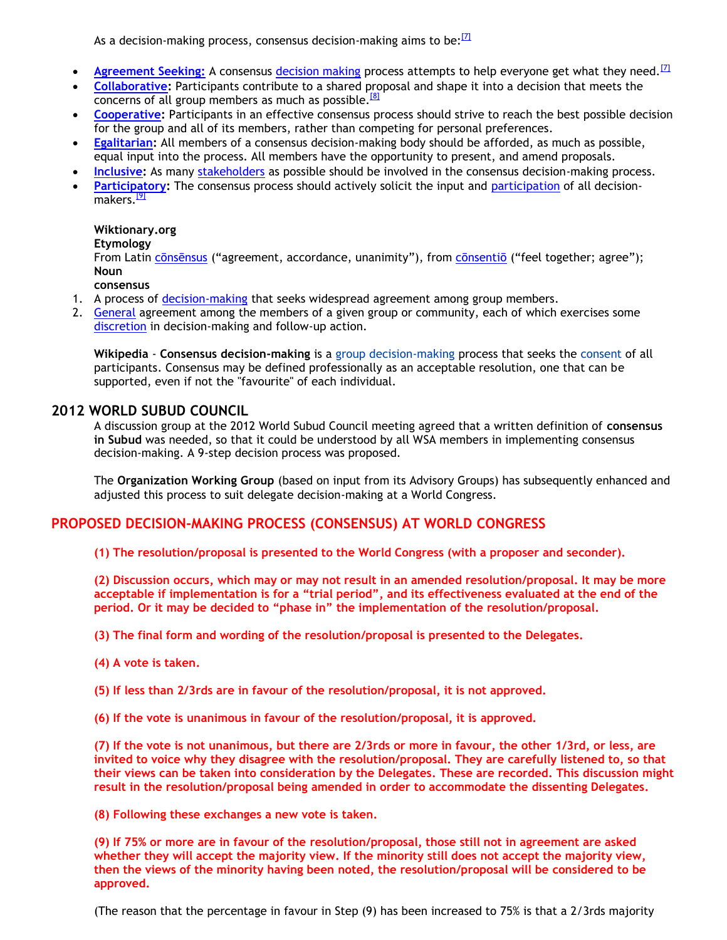As a decision-making process, consensus decision-making aims to be: $^{17}$ 

- Agreement Seeking: A consensus [decision making](http://en.wikipedia.org/wiki/Decision_making) process attempts to help everyone get what they need.<sup>[\[7\]](http://en.wikipedia.org/wiki/Consensus_decision-making#cite_note-cdmsite-6)</sup>
- **[Collaborative:](http://en.wikipedia.org/wiki/Collaboration)** Participants contribute to a shared proposal and shape it into a decision that meets the concerns of all group members as much as possible.<sup>[\[8\]](http://en.wikipedia.org/wiki/Consensus_decision-making#cite_note-CODM_book-7)</sup>
- **[Cooperative:](http://en.wikipedia.org/wiki/Cooperation)** Participants in an effective consensus process should strive to reach the best possible decision for the group and all of its members, rather than competing for personal preferences.
- **[Egalitarian:](http://en.wikipedia.org/wiki/Egalitarianism)** All members of a consensus decision-making body should be afforded, as much as possible, equal input into the process. All members have the opportunity to present, and amend proposals.
- **[Inclusive:](http://en.wikipedia.org/wiki/Inclusion_%28value_and_practice%29)** As many [stakeholders](http://en.wiktionary.org/wiki/stakeholder) as possible should be involved in the consensus decision-making process.
- **[Participatory:](http://en.wikipedia.org/wiki/Participation_%28decision_making%29)** The consensus process should actively solicit the input and [participation](http://en.wikipedia.org/wiki/Participation_%28decision_making%29) of all decision-makers.<sup>[\[9\]](http://en.wikipedia.org/wiki/Consensus_decision-making#cite_note-Sandelin-8)</sup>

#### **Wiktionary.org**

#### **Etymology**

From Latin [cōnsēnsus](http://en.wiktionary.org/wiki/consensus#Latin) ("agreement, accordance, unanimity"), from [cōnsentiō](http://en.wiktionary.org/wiki/consentio#Latin) ("feel together; agree"); **Noun**

**consensus**

- 1. A process of [decision-making](http://en.wikipedia.org/wiki/Decision_making#Decision_making_in_social_setting) that seeks widespread agreement among group members.
- 2. [General](http://en.wiktionary.org/wiki/general#Adjective) agreement among the members of a given group or community, each of which exercises some [discretion](http://en.wiktionary.org/wiki/discretion) in decision-making and follow-up action.

**Wikipedia** - **Consensus decision-making** is a [group decision-making](http://en.wikipedia.org/wiki/Group_decision_making) process that seeks the [consent](http://en.wikipedia.org/wiki/Consent) of all participants. Consensus may be defined professionally as an acceptable resolution, one that can be supported, even if not the "favourite" of each individual.

### **2012 WORLD SUBUD COUNCIL**

A discussion group at the 2012 World Subud Council meeting agreed that a written definition of **consensus in Subud** was needed, so that it could be understood by all WSA members in implementing consensus decision-making. A 9-step decision process was proposed.

The **Organization Working Group** (based on input from its Advisory Groups) has subsequently enhanced and adjusted this process to suit delegate decision-making at a World Congress.

# **PROPOSED DECISION-MAKING PROCESS (CONSENSUS) AT WORLD CONGRESS**

**(1) The resolution/proposal is presented to the World Congress (with a proposer and seconder).**

**(2) Discussion occurs, which may or may not result in an amended resolution/proposal. It may be more acceptable if implementation is for a "trial period", and its effectiveness evaluated at the end of the period. Or it may be decided to "phase in" the implementation of the resolution/proposal.**

**(3) The final form and wording of the resolution/proposal is presented to the Delegates.**

- **(4) A vote is taken.**
- **(5) If less than 2/3rds are in favour of the resolution/proposal, it is not approved.**
- **(6) If the vote is unanimous in favour of the resolution/proposal, it is approved.**

**(7) If the vote is not unanimous, but there are 2/3rds or more in favour, the other 1/3rd, or less, are invited to voice why they disagree with the resolution/proposal. They are carefully listened to, so that their views can be taken into consideration by the Delegates. These are recorded. This discussion might result in the resolution/proposal being amended in order to accommodate the dissenting Delegates.**

**(8) Following these exchanges a new vote is taken.**

**(9) If 75% or more are in favour of the resolution/proposal, those still not in agreement are asked whether they will accept the majority view. If the minority still does not accept the majority view, then the views of the minority having been noted, the resolution/proposal will be considered to be approved.**

(The reason that the percentage in favour in Step (9) has been increased to 75% is that a 2/3rds majority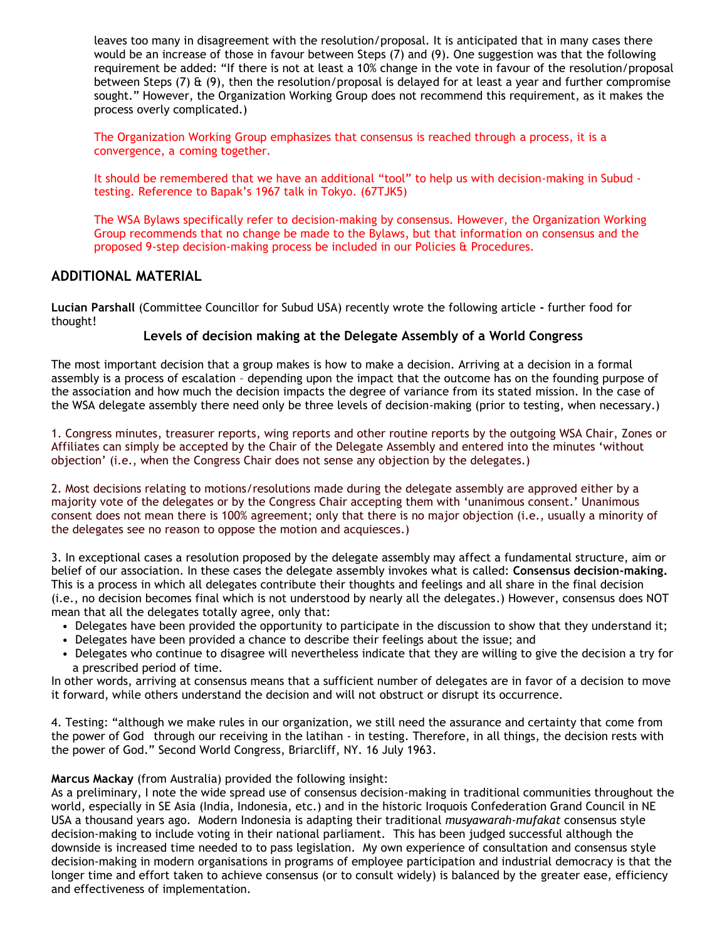leaves too many in disagreement with the resolution/proposal. It is anticipated that in many cases there would be an increase of those in favour between Steps (7) and (9). One suggestion was that the following requirement be added: "If there is not at least a 10% change in the vote in favour of the resolution/proposal between Steps (7)  $\&$  (9), then the resolution/proposal is delayed for at least a year and further compromise sought." However, the Organization Working Group does not recommend this requirement, as it makes the process overly complicated.)

The Organization Working Group emphasizes that consensus is reached through a process, it is a convergence, a coming together.

It should be remembered that we have an additional "tool" to help us with decision-making in Subud testing. Reference to Bapak's 1967 talk in Tokyo. (67TJK5)

The WSA Bylaws specifically refer to decision-making by consensus. However, the Organization Working Group recommends that no change be made to the Bylaws, but that information on consensus and the proposed 9-step decision-making process be included in our Policies & Procedures.

### **ADDITIONAL MATERIAL**

**Lucian Parshall** (Committee Councillor for Subud USA) recently wrote the following article **-** further food for thought!

### **Levels of decision making at the Delegate Assembly of a World Congress**

The most important decision that a group makes is how to make a decision. Arriving at a decision in a formal assembly is a process of escalation – depending upon the impact that the outcome has on the founding purpose of the association and how much the decision impacts the degree of variance from its stated mission. In the case of the WSA delegate assembly there need only be three levels of decision-making (prior to testing, when necessary.)

1. Congress minutes, treasurer reports, wing reports and other routine reports by the outgoing WSA Chair, Zones or Affiliates can simply be accepted by the Chair of the Delegate Assembly and entered into the minutes 'without objection' (i.e., when the Congress Chair does not sense any objection by the delegates.)

2. Most decisions relating to motions/resolutions made during the delegate assembly are approved either by a majority vote of the delegates or by the Congress Chair accepting them with 'unanimous consent.' Unanimous consent does not mean there is 100% agreement; only that there is no major objection (i.e., usually a minority of the delegates see no reason to oppose the motion and acquiesces.)

3. In exceptional cases a resolution proposed by the delegate assembly may affect a fundamental structure, aim or belief of our association. In these cases the delegate assembly invokes what is called: **Consensus decision-making.** This is a process in which all delegates contribute their thoughts and feelings and all share in the final decision (i.e., no decision becomes final which is not understood by nearly all the delegates.) However, consensus does NOT mean that all the delegates totally agree, only that:

- Delegates have been provided the opportunity to participate in the discussion to show that they understand it;
- Delegates have been provided a chance to describe their feelings about the issue; and
- Delegates who continue to disagree will nevertheless indicate that they are willing to give the decision a try for a prescribed period of time.

In other words, arriving at consensus means that a sufficient number of delegates are in favor of a decision to move it forward, while others understand the decision and will not obstruct or disrupt its occurrence.

4. Testing: "although we make rules in our organization, we still need the assurance and certainty that come from the power of God through our receiving in the latihan - in testing. Therefore, in all things, the decision rests with the power of God." Second World Congress, Briarcliff, NY. 16 July 1963.

#### **Marcus Mackay** (from Australia) provided the following insight:

As a preliminary, I note the wide spread use of consensus decision-making in traditional communities throughout the world, especially in SE Asia (India, Indonesia, etc.) and in the historic Iroquois Confederation Grand Council in NE USA a thousand years ago. Modern Indonesia is adapting their traditional *musyawarah-mufakat* consensus style decision-making to include voting in their national parliament. This has been judged successful although the downside is increased time needed to to pass legislation. My own experience of consultation and consensus style decision-making in modern organisations in programs of employee participation and industrial democracy is that the longer time and effort taken to achieve consensus (or to consult widely) is balanced by the greater ease, efficiency and effectiveness of implementation.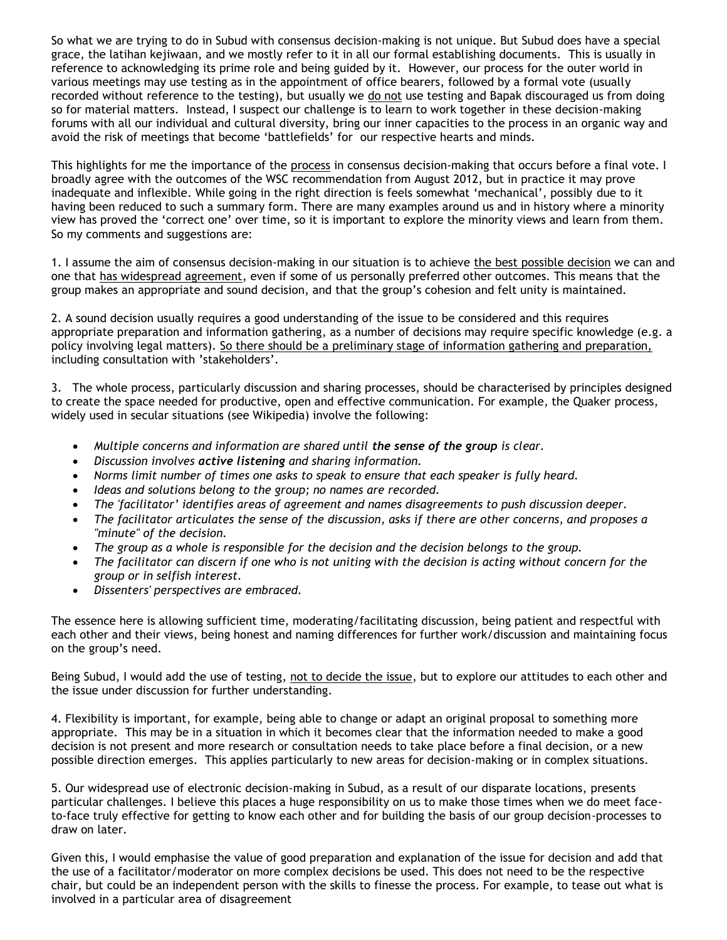So what we are trying to do in Subud with consensus decision-making is not unique. But Subud does have a special grace, the latihan kejiwaan, and we mostly refer to it in all our formal establishing documents. This is usually in reference to acknowledging its prime role and being guided by it. However, our process for the outer world in various meetings may use testing as in the appointment of office bearers, followed by a formal vote (usually recorded without reference to the testing), but usually we do not use testing and Bapak discouraged us from doing so for material matters. Instead, I suspect our challenge is to learn to work together in these decision-making forums with all our individual and cultural diversity, bring our inner capacities to the process in an organic way and avoid the risk of meetings that become 'battlefields' for our respective hearts and minds.

This highlights for me the importance of the process in consensus decision-making that occurs before a final vote. I broadly agree with the outcomes of the WSC recommendation from August 2012, but in practice it may prove inadequate and inflexible. While going in the right direction is feels somewhat 'mechanical', possibly due to it having been reduced to such a summary form. There are many examples around us and in history where a minority view has proved the 'correct one' over time, so it is important to explore the minority views and learn from them. So my comments and suggestions are:

1. I assume the aim of consensus decision-making in our situation is to achieve the best possible decision we can and one that has widespread agreement, even if some of us personally preferred other outcomes. This means that the group makes an appropriate and sound decision, and that the group's cohesion and felt unity is maintained.

2. A sound decision usually requires a good understanding of the issue to be considered and this requires appropriate preparation and information gathering, as a number of decisions may require specific knowledge (e.g. a policy involving legal matters). So there should be a preliminary stage of information gathering and preparation, including consultation with 'stakeholders'.

3. The whole process, particularly discussion and sharing processes, should be characterised by principles designed to create the space needed for productive, open and effective communication. For example, the Quaker process, widely used in secular situations (see Wikipedia) involve the following:

- *Multiple concerns and information are shared until the sense of the group is clear.*
- *Discussion involves active listening and sharing information.*
- *Norms limit number of times one asks to speak to ensure that each speaker is fully heard.*
- *Ideas and solutions belong to the group; no names are recorded.*
- *The 'facilitator' identifies areas of agreement and names disagreements to push discussion deeper.*
- *The facilitator articulates the sense of the discussion, asks if there are other concerns, and proposes a "minute" of the decision.*
- *The group as a whole is responsible for the decision and the decision belongs to the group.*
- *The facilitator can discern if one who is not uniting with the decision is acting without concern for the group or in selfish interest.*
- *Dissenters' perspectives are embraced.*

The essence here is allowing sufficient time, moderating/facilitating discussion, being patient and respectful with each other and their views, being honest and naming differences for further work/discussion and maintaining focus on the group's need.

Being Subud, I would add the use of testing, not to decide the issue, but to explore our attitudes to each other and the issue under discussion for further understanding.

4. Flexibility is important, for example, being able to change or adapt an original proposal to something more appropriate. This may be in a situation in which it becomes clear that the information needed to make a good decision is not present and more research or consultation needs to take place before a final decision, or a new possible direction emerges. This applies particularly to new areas for decision-making or in complex situations.

5. Our widespread use of electronic decision-making in Subud, as a result of our disparate locations, presents particular challenges. I believe this places a huge responsibility on us to make those times when we do meet faceto-face truly effective for getting to know each other and for building the basis of our group decision-processes to draw on later.

Given this, I would emphasise the value of good preparation and explanation of the issue for decision and add that the use of a facilitator/moderator on more complex decisions be used. This does not need to be the respective chair, but could be an independent person with the skills to finesse the process. For example, to tease out what is involved in a particular area of disagreement